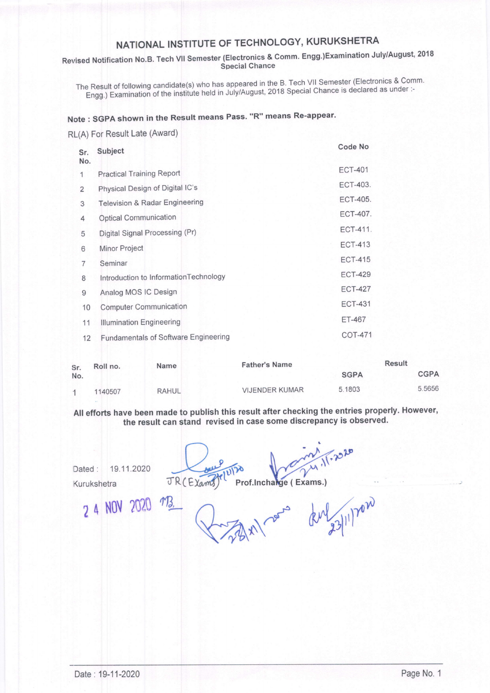## NATIONAL INSTITUTE OF TECHNOLOGY, KURUKSHETRA

### Revised Notification No.B. Tech VII Semester (Electronics & Comm. Engg.)Examination July/August, 2018 **Special Chance**

The Result of following candidate(s) who has appeared in the B. Tech VII Semester (Electronics & Comm. Engg.) Examination of the institute held in July/August, 2018 Special Chance is declared as under :-

### Note: SGPA shown in the Result means Pass. "R" means Re-appear.

#### RL(A) For Result Late (Award)

| Sr.          | Subject                               | Code No         |  |
|--------------|---------------------------------------|-----------------|--|
| No.          |                                       | <b>ECT-401</b>  |  |
| $\mathbf{1}$ | <b>Practical Training Report</b>      |                 |  |
| 2            | Physical Design of Digital IC's       | ECT-403.        |  |
| 3            | Television & Radar Engineering        | <b>ECT-405.</b> |  |
| 4            | <b>Optical Communication</b>          | <b>ECT-407.</b> |  |
| 5            | Digital Signal Processing (Pr)        | <b>ECT-411.</b> |  |
| 6            | Minor Project                         | <b>ECT-413</b>  |  |
| 7            | Seminar                               | <b>ECT-415</b>  |  |
| 8            | Introduction to InformationTechnology | <b>ECT-429</b>  |  |
| 9            | Analog MOS IC Design                  | <b>ECT-427</b>  |  |
| 10           | <b>Computer Communication</b>         | <b>ECT-431</b>  |  |
| 11           | Illumination Engineering              | <b>ET-467</b>   |  |
| 12           | Fundamentals of Software Engineering  | <b>COT-471</b>  |  |

| Sr.<br>No. | Roll no. | <b>Name</b>  | <b>Father's Name</b>  | <b>Result</b> |             |
|------------|----------|--------------|-----------------------|---------------|-------------|
|            |          |              |                       | <b>SGPA</b>   | <b>CGPA</b> |
|            | 1140507  | <b>RAHUL</b> | <b>VIJENDER KUMAR</b> | 5.1803        | 5.5656      |

All efforts have been made to publish this result after checking the entries properly. However, the result can stand revised in case some discrepancy is observed.

19.11.2020 Dated: Kurukshetra

 $\sqrt{1.2020}$ Prof.Inchange (Exams.) JR (Exams)

2 4 NOV 2020

noon developped